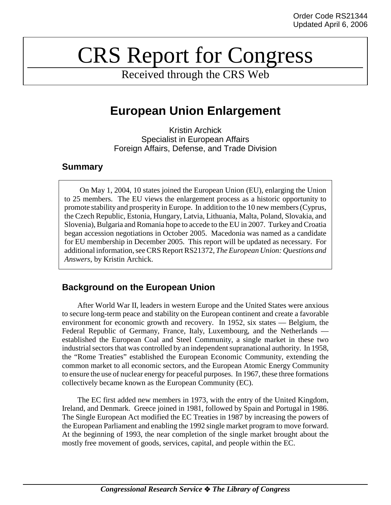# CRS Report for Congress

Received through the CRS Web

## **European Union Enlargement**

Kristin Archick Specialist in European Affairs Foreign Affairs, Defense, and Trade Division

## **Summary**

On May 1, 2004, 10 states joined the European Union (EU), enlarging the Union to 25 members. The EU views the enlargement process as a historic opportunity to promote stability and prosperity in Europe. In addition to the 10 new members (Cyprus, the Czech Republic, Estonia, Hungary, Latvia, Lithuania, Malta, Poland, Slovakia, and Slovenia), Bulgaria and Romania hope to accede to the EU in 2007. Turkey and Croatia began accession negotiations in October 2005. Macedonia was named as a candidate for EU membership in December 2005. This report will be updated as necessary. For additional information, see CRS Report RS21372, *The European Union: Questions and Answers*, by Kristin Archick.

## **Background on the European Union**

After World War II, leaders in western Europe and the United States were anxious to secure long-term peace and stability on the European continent and create a favorable environment for economic growth and recovery. In 1952, six states — Belgium, the Federal Republic of Germany, France, Italy, Luxembourg, and the Netherlands established the European Coal and Steel Community, a single market in these two industrial sectors that was controlled by an independent supranational authority. In 1958, the "Rome Treaties" established the European Economic Community, extending the common market to all economic sectors, and the European Atomic Energy Community to ensure the use of nuclear energy for peaceful purposes. In 1967, these three formations collectively became known as the European Community (EC).

The EC first added new members in 1973, with the entry of the United Kingdom, Ireland, and Denmark. Greece joined in 1981, followed by Spain and Portugal in 1986. The Single European Act modified the EC Treaties in 1987 by increasing the powers of the European Parliament and enabling the 1992 single market program to move forward. At the beginning of 1993, the near completion of the single market brought about the mostly free movement of goods, services, capital, and people within the EC.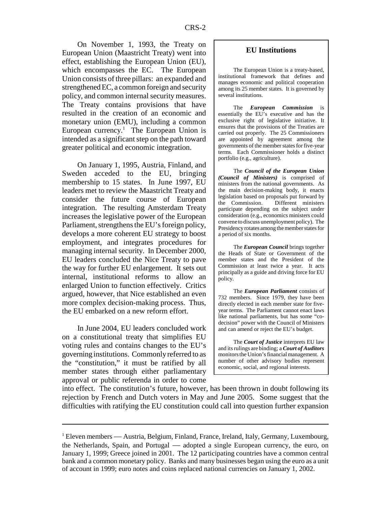On November 1, 1993, the Treaty on European Union (Maastricht Treaty) went into effect, establishing the European Union (EU), which encompasses the EC. The European Union consists of three pillars: an expanded and strengthened EC, a common foreign and security policy, and common internal security measures. The Treaty contains provisions that have resulted in the creation of an economic and monetary union (EMU), including a common European currency.<sup>1</sup> The European Union is intended as a significant step on the path toward greater political and economic integration.

On January 1, 1995, Austria, Finland, and Sweden acceded to the EU, bringing membership to 15 states. In June 1997, EU leaders met to review the Maastricht Treaty and consider the future course of European integration. The resulting Amsterdam Treaty increases the legislative power of the European Parliament, strengthens the EU's foreign policy, develops a more coherent EU strategy to boost employment, and integrates procedures for managing internal security. In December 2000, EU leaders concluded the Nice Treaty to pave the way for further EU enlargement. It sets out internal, institutional reforms to allow an enlarged Union to function effectively. Critics argued, however, that Nice established an even more complex decision-making process. Thus, the EU embarked on a new reform effort.

In June 2004, EU leaders concluded work on a constitutional treaty that simplifies EU voting rules and contains changes to the EU's governing institutions. Commonly referred to as the "constitution," it must be ratified by all member states through either parliamentary approval or public referenda in order to come

#### **EU Institutions**

The European Union is a treaty-based, institutional framework that defines and manages economic and political cooperation among its 25 member states. It is governed by several institutions.

The *European Commission* is essentially the EU's executive and has the exclusive right of legislative initiative. It ensures that the provisions of the Treaties are carried out properly. The 25 Commissioners are appointed by agreement among the governments of the member states for five-year terms. Each Commissioner holds a distinct portfolio (e.g., agriculture).

The *Council of the European Union (Council of Ministers)* is comprised of ministers from the national governments. As the main decision-making body, it enacts legislation based on proposals put forward by the Commission. Different ministers participate depending on the subject under consideration (e.g., economics ministers could convene to discuss unemployment policy). The Presidency rotates among the member states for a period of six months.

The *European Council* brings together the Heads of State or Government of the member states and the President of the Commission at least twice a year. It acts principally as a guide and driving force for EU policy.

The *European Parliament* consists of 732 members. Since 1979, they have been directly elected in each member state for fiveyear terms. The Parliament cannot enact laws like national parliaments, but has some "codecision" power with the Council of Ministers and can amend or reject the EU's budget.

The *Court of Justice* interprets EU law and its rulings are binding; a *Court of Auditors* monitors the Union's financial management. A number of other advisory bodies represent economic, social, and regional interests.

into effect. The constitution's future, however, has been thrown in doubt following its rejection by French and Dutch voters in May and June 2005. Some suggest that the difficulties with ratifying the EU constitution could call into question further expansion

<sup>&</sup>lt;sup>1</sup> Eleven members — Austria, Belgium, Finland, France, Ireland, Italy, Germany, Luxembourg, the Netherlands, Spain, and Portugal — adopted a single European currency, the euro, on January 1, 1999; Greece joined in 2001. The 12 participating countries have a common central bank and a common monetary policy. Banks and many businesses began using the euro as a unit of account in 1999; euro notes and coins replaced national currencies on January 1, 2002.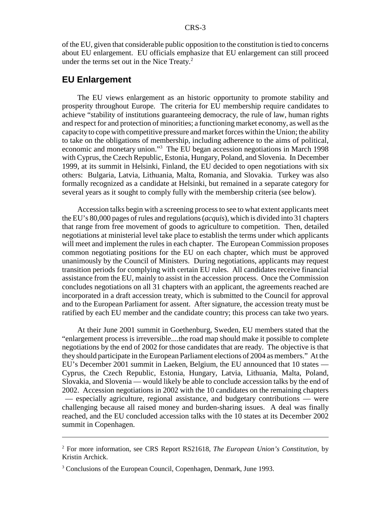of the EU, given that considerable public opposition to the constitution is tied to concerns about EU enlargement. EU officials emphasize that EU enlargement can still proceed under the terms set out in the Nice Treaty.<sup>2</sup>

## **EU Enlargement**

The EU views enlargement as an historic opportunity to promote stability and prosperity throughout Europe. The criteria for EU membership require candidates to achieve "stability of institutions guaranteeing democracy, the rule of law, human rights and respect for and protection of minorities; a functioning market economy, as well as the capacity to cope with competitive pressure and market forces within the Union; the ability to take on the obligations of membership, including adherence to the aims of political, economic and monetary union."<sup>3</sup> The EU began accession negotiations in March 1998 with Cyprus, the Czech Republic, Estonia, Hungary, Poland, and Slovenia. In December 1999, at its summit in Helsinki, Finland, the EU decided to open negotiations with six others: Bulgaria, Latvia, Lithuania, Malta, Romania, and Slovakia. Turkey was also formally recognized as a candidate at Helsinki, but remained in a separate category for several years as it sought to comply fully with the membership criteria (see below).

Accession talks begin with a screening process to see to what extent applicants meet the EU's 80,000 pages of rules and regulations (*acquis*), which is divided into 31 chapters that range from free movement of goods to agriculture to competition. Then, detailed negotiations at ministerial level take place to establish the terms under which applicants will meet and implement the rules in each chapter. The European Commission proposes common negotiating positions for the EU on each chapter, which must be approved unanimously by the Council of Ministers. During negotiations, applicants may request transition periods for complying with certain EU rules. All candidates receive financial assistance from the EU, mainly to assist in the accession process. Once the Commission concludes negotiations on all 31 chapters with an applicant, the agreements reached are incorporated in a draft accession treaty, which is submitted to the Council for approval and to the European Parliament for assent. After signature, the accession treaty must be ratified by each EU member and the candidate country; this process can take two years.

At their June 2001 summit in Goethenburg, Sweden, EU members stated that the "enlargement process is irreversible....the road map should make it possible to complete negotiations by the end of 2002 for those candidates that are ready. The objective is that they should participate in the European Parliament elections of 2004 as members." At the EU's December 2001 summit in Laeken, Belgium, the EU announced that 10 states — Cyprus, the Czech Republic, Estonia, Hungary, Latvia, Lithuania, Malta, Poland, Slovakia, and Slovenia — would likely be able to conclude accession talks by the end of 2002. Accession negotiations in 2002 with the 10 candidates on the remaining chapters — especially agriculture, regional assistance, and budgetary contributions — were challenging because all raised money and burden-sharing issues. A deal was finally reached, and the EU concluded accession talks with the 10 states at its December 2002 summit in Copenhagen.

<sup>2</sup> For more information, see CRS Report RS21618, *The European Union's Constitution*, by Kristin Archick.

<sup>&</sup>lt;sup>3</sup> Conclusions of the European Council, Copenhagen, Denmark, June 1993.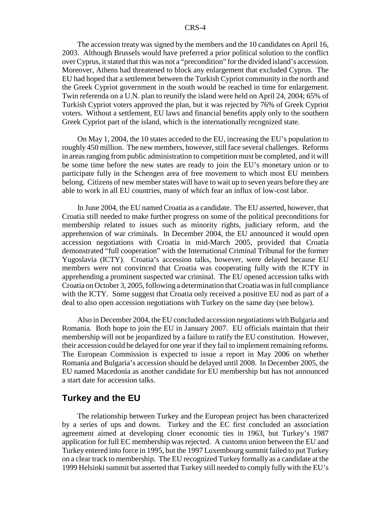The accession treaty was signed by the members and the 10 candidates on April 16, 2003. Although Brussels would have preferred a prior political solution to the conflict over Cyprus, it stated that this was not a "precondition" for the divided island's accession. Moreover, Athens had threatened to block any enlargement that excluded Cyprus. The EU had hoped that a settlement between the Turkish Cypriot community in the north and the Greek Cypriot government in the south would be reached in time for enlargement. Twin referenda on a U.N. plan to reunify the island were held on April 24, 2004; 65% of Turkish Cypriot voters approved the plan, but it was rejected by 76% of Greek Cypriot voters. Without a settlement, EU laws and financial benefits apply only to the southern Greek Cypriot part of the island, which is the internationally recognized state.

On May 1, 2004, the 10 states acceded to the EU, increasing the EU's population to roughly 450 million. The new members, however, still face several challenges. Reforms in areas ranging from public administration to competition must be completed, and it will be some time before the new states are ready to join the EU's monetary union or to participate fully in the Schengen area of free movement to which most EU members belong. Citizens of new member states will have to wait up to seven years before they are able to work in all EU countries, many of which fear an influx of low-cost labor.

In June 2004, the EU named Croatia as a candidate. The EU asserted, however, that Croatia still needed to make further progress on some of the political preconditions for membership related to issues such as minority rights, judiciary reform, and the apprehension of war criminals. In December 2004, the EU announced it would open accession negotiations with Croatia in mid-March 2005, provided that Croatia demonstrated "full cooperation" with the International Criminal Tribunal for the former Yugoslavia (ICTY). Croatia's accession talks, however, were delayed because EU members were not convinced that Croatia was cooperating fully with the ICTY in apprehending a prominent suspected war criminal. The EU opened accession talks with Croatia on October 3, 2005, following a determination that Croatia was in full compliance with the ICTY. Some suggest that Croatia only received a positive EU nod as part of a deal to also open accession negotiations with Turkey on the same day (see below).

Also in December 2004, the EU concluded accession negotiations with Bulgaria and Romania. Both hope to join the EU in January 2007. EU officials maintain that their membership will not be jeopardized by a failure to ratify the EU constitution. However, their accession could be delayed for one year if they fail to implement remaining reforms. The European Commission is expected to issue a report in May 2006 on whether Romania and Bulgaria's accession should be delayed until 2008. In December 2005, the EU named Macedonia as another candidate for EU membership but has not announced a start date for accession talks.

### **Turkey and the EU**

The relationship between Turkey and the European project has been characterized by a series of ups and downs. Turkey and the EC first concluded an association agreement aimed at developing closer economic ties in 1963, but Turkey's 1987 application for full EC membership was rejected. A customs union between the EU and Turkey entered into force in 1995, but the 1997 Luxembourg summit failed to put Turkey on a clear track to membership. The EU recognized Turkey formally as a candidate at the 1999 Helsinki summit but asserted that Turkey still needed to comply fully with the EU's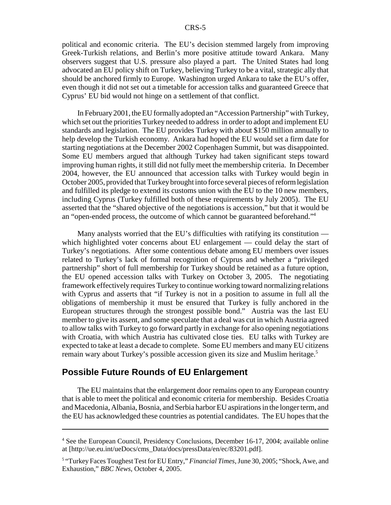political and economic criteria. The EU's decision stemmed largely from improving Greek-Turkish relations, and Berlin's more positive attitude toward Ankara. Many observers suggest that U.S. pressure also played a part. The United States had long advocated an EU policy shift on Turkey, believing Turkey to be a vital, strategic ally that should be anchored firmly to Europe. Washington urged Ankara to take the EU's offer, even though it did not set out a timetable for accession talks and guaranteed Greece that Cyprus' EU bid would not hinge on a settlement of that conflict.

In February 2001, the EU formally adopted an "Accession Partnership" with Turkey, which set out the priorities Turkey needed to address in order to adopt and implement EU standards and legislation. The EU provides Turkey with about \$150 million annually to help develop the Turkish economy. Ankara had hoped the EU would set a firm date for starting negotiations at the December 2002 Copenhagen Summit, but was disappointed. Some EU members argued that although Turkey had taken significant steps toward improving human rights, it still did not fully meet the membership criteria. In December 2004, however, the EU announced that accession talks with Turkey would begin in October 2005, provided that Turkey brought into force several pieces of reform legislation and fulfilled its pledge to extend its customs union with the EU to the 10 new members, including Cyprus (Turkey fulfilled both of these requirements by July 2005). The EU asserted that the "shared objective of the negotiations is accession," but that it would be an "open-ended process, the outcome of which cannot be guaranteed beforehand."4

Many analysts worried that the EU's difficulties with ratifying its constitution which highlighted voter concerns about EU enlargement — could delay the start of Turkey's negotiations. After some contentious debate among EU members over issues related to Turkey's lack of formal recognition of Cyprus and whether a "privileged partnership" short of full membership for Turkey should be retained as a future option, the EU opened accession talks with Turkey on October 3, 2005. The negotiating framework effectively requires Turkey to continue working toward normalizing relations with Cyprus and asserts that "if Turkey is not in a position to assume in full all the obligations of membership it must be ensured that Turkey is fully anchored in the European structures through the strongest possible bond." Austria was the last EU member to give its assent, and some speculate that a deal was cut in which Austria agreed to allow talks with Turkey to go forward partly in exchange for also opening negotiations with Croatia, with which Austria has cultivated close ties. EU talks with Turkey are expected to take at least a decade to complete. Some EU members and many EU citizens remain wary about Turkey's possible accession given its size and Muslim heritage.5

## **Possible Future Rounds of EU Enlargement**

The EU maintains that the enlargement door remains open to any European country that is able to meet the political and economic criteria for membership. Besides Croatia and Macedonia, Albania, Bosnia, and Serbia harbor EU aspirations in the longer term, and the EU has acknowledged these countries as potential candidates. The EU hopes that the

<sup>&</sup>lt;sup>4</sup> See the European Council, Presidency Conclusions, December 16-17, 2004; available online at [http://ue.eu.int/ueDocs/cms\_Data/docs/pressData/en/ec/83201.pdf].

<sup>&</sup>lt;sup>5</sup> "Turkey Faces Toughest Test for EU Entry," *Financial Times*, June 30, 2005; "Shock, Awe, and Exhaustion," *BBC News*, October 4, 2005.